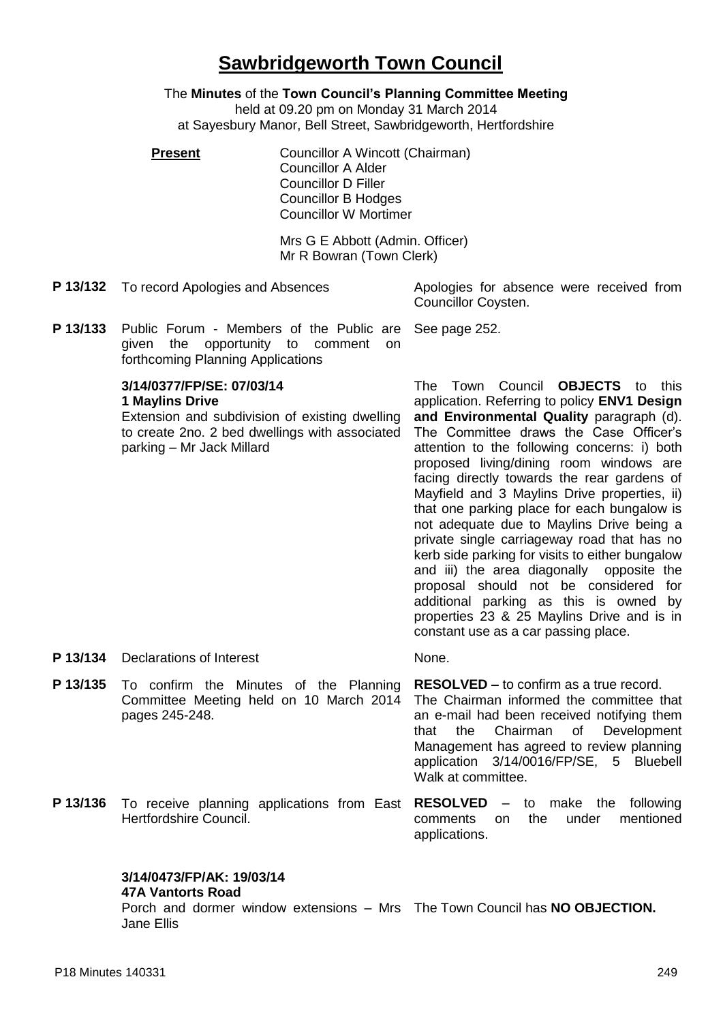# **Sawbridgeworth Town Council**

The **Minutes** of the **Town Council's Planning Committee Meeting**

held at 09.20 pm on Monday 31 March 2014 at Sayesbury Manor, Bell Street, Sawbridgeworth, Hertfordshire

**Present Councillor A Wincott (Chairman)** Councillor A Alder Councillor D Filler Councillor B Hodges Councillor W Mortimer

> Mrs G E Abbott (Admin. Officer) Mr R Bowran (Town Clerk)

**P 13/132** To record Apologies and Absences Apologies for absence were received from

Councillor Coysten.

**P 13/133** Public Forum - Members of the Public are given the opportunity to comment on forthcoming Planning Applications See page 252.

# **3/14/0377/FP/SE: 07/03/14 1 Maylins Drive**

Extension and subdivision of existing dwelling to create 2no. 2 bed dwellings with associated parking – Mr Jack Millard

The Town Council **OBJECTS** to this application. Referring to policy **ENV1 Design and Environmental Quality** paragraph (d). The Committee draws the Case Officer's attention to the following concerns: i) both proposed living/dining room windows are facing directly towards the rear gardens of Mayfield and 3 Maylins Drive properties, ii) that one parking place for each bungalow is not adequate due to Maylins Drive being a private single carriageway road that has no kerb side parking for visits to either bungalow and iii) the area diagonally opposite the proposal should not be considered for additional parking as this is owned by properties 23 & 25 Maylins Drive and is in constant use as a car passing place.

**P 13/134** Declarations of Interest None.

- **P 13/135** To confirm the Minutes of the Planning Committee Meeting held on 10 March 2014 pages 245-248. **RESOLVED –** to confirm as a true record. The Chairman informed the committee that an e-mail had been received notifying them that the Chairman of Development Management has agreed to review planning application 3/14/0016/FP/SE, 5 Bluebell Walk at committee.
- **P 13/136** To receive planning applications from East **RESOLVED**  to make the following Hertfordshire Council. comments on the under mentioned applications.

# **3/14/0473/FP/AK: 19/03/14**

## **47A Vantorts Road**

Porch and dormer window extensions – Mrs The Town Council has **NO OBJECTION.**Jane Ellis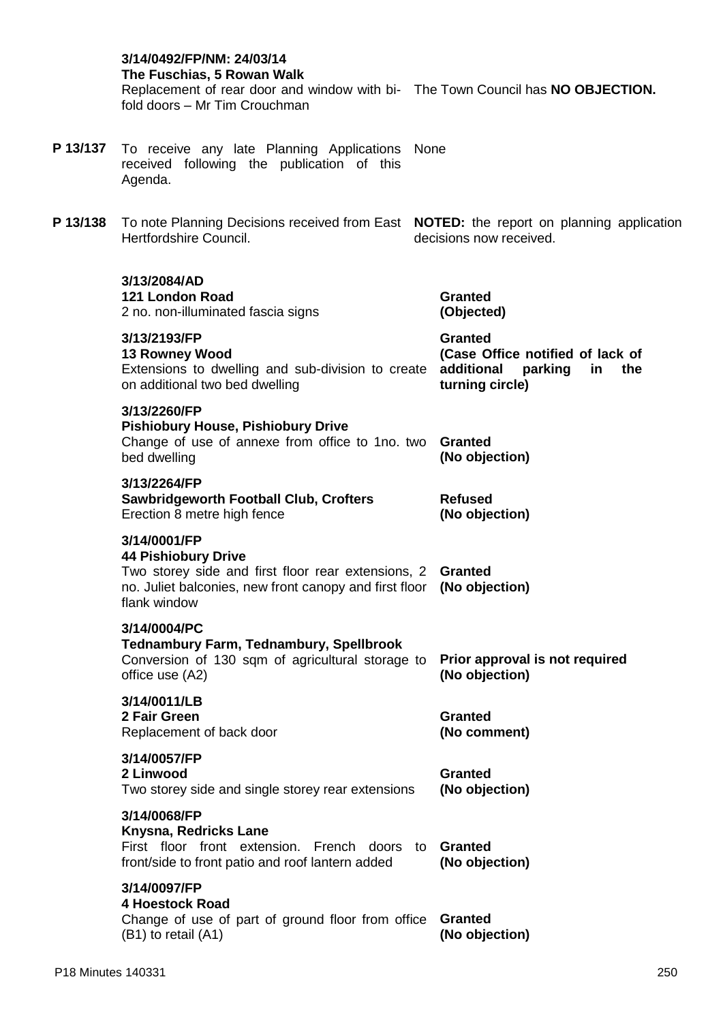|          | 3/14/0492/FP/NM: 24/03/14<br>The Fuschias, 5 Rowan Walk<br>Replacement of rear door and window with bi- The Town Council has NO OBJECTION.<br>fold doors - Mr Tim Crouchman |                                                                                                             |
|----------|-----------------------------------------------------------------------------------------------------------------------------------------------------------------------------|-------------------------------------------------------------------------------------------------------------|
| P 13/137 | To receive any late Planning Applications None<br>received following the publication of this<br>Agenda.                                                                     |                                                                                                             |
| P 13/138 | To note Planning Decisions received from East NOTED: the report on planning application<br>Hertfordshire Council.                                                           | decisions now received.                                                                                     |
|          | 3/13/2084/AD<br>121 London Road<br>2 no. non-illuminated fascia signs                                                                                                       | <b>Granted</b><br>(Objected)                                                                                |
|          | 3/13/2193/FP<br><b>13 Rowney Wood</b><br>Extensions to dwelling and sub-division to create<br>on additional two bed dwelling                                                | <b>Granted</b><br>(Case Office notified of lack of<br>additional<br>parking<br>in<br>the<br>turning circle) |
|          | 3/13/2260/FP<br><b>Pishiobury House, Pishiobury Drive</b><br>Change of use of annexe from office to 1no. two<br>bed dwelling                                                | <b>Granted</b><br>(No objection)                                                                            |
|          | 3/13/2264/FP<br><b>Sawbridgeworth Football Club, Crofters</b><br>Erection 8 metre high fence                                                                                | <b>Refused</b><br>(No objection)                                                                            |
|          | 3/14/0001/FP<br><b>44 Pishiobury Drive</b><br>Two storey side and first floor rear extensions, 2<br>no. Juliet balconies, new front canopy and first floor<br>flank window  | Granted<br>(No objection)                                                                                   |
|          | 3/14/0004/PC<br><b>Tednambury Farm, Tednambury, Spellbrook</b><br>Conversion of 130 sqm of agricultural storage to<br>office use (A2)                                       | Prior approval is not required<br>(No objection)                                                            |
|          | 3/14/0011/LB<br>2 Fair Green<br>Replacement of back door                                                                                                                    | <b>Granted</b><br>(No comment)                                                                              |
|          | 3/14/0057/FP<br>2 Linwood<br>Two storey side and single storey rear extensions                                                                                              | <b>Granted</b><br>(No objection)                                                                            |
|          | 3/14/0068/FP<br>Knysna, Redricks Lane<br>First floor front extension. French doors to<br>front/side to front patio and roof lantern added                                   | <b>Granted</b><br>(No objection)                                                                            |
|          | 3/14/0097/FP<br><b>4 Hoestock Road</b><br>Change of use of part of ground floor from office<br>(B1) to retail (A1)                                                          | <b>Granted</b><br>(No objection)                                                                            |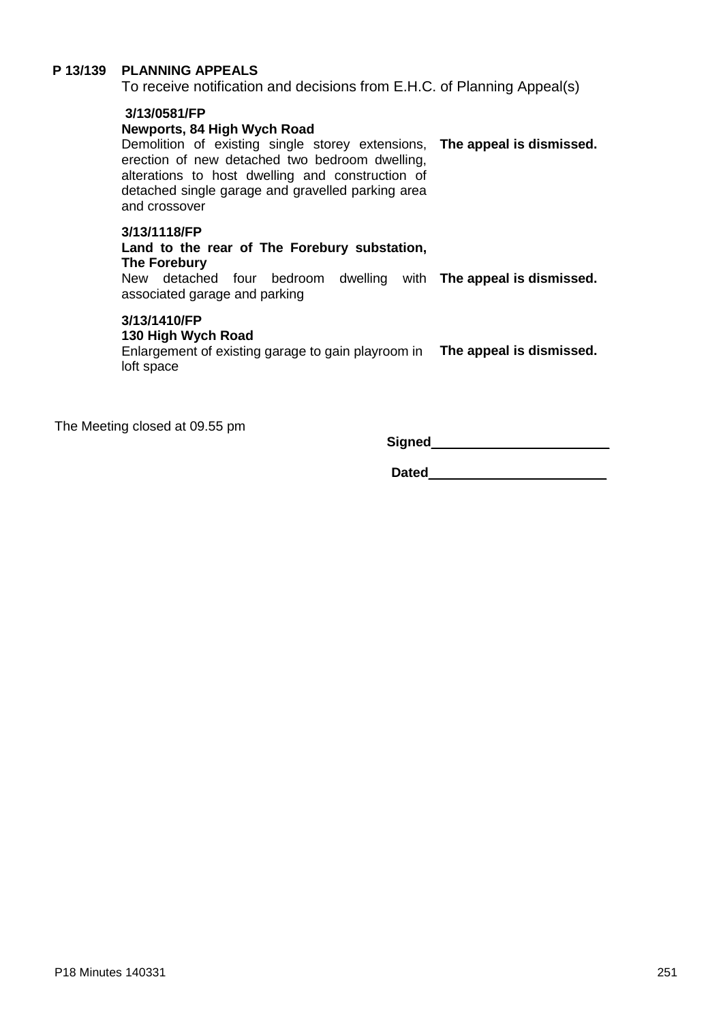# **P 13/139 PLANNING APPEALS**

To receive notification and decisions from E.H.C. of Planning Appeal(s)

#### **3/13/0581/FP**

#### **Newports, 84 High Wych Road**

Demolition of existing single storey extensions, **The appeal is dismissed.** erection of new detached two bedroom dwelling, alterations to host dwelling and construction of detached single garage and gravelled parking area and crossover

#### **3/13/1118/FP**

#### **Land to the rear of The Forebury substation, The Forebury**

New detached four bedroom dwelling with **The appeal is dismissed.** associated garage and parking

#### **3/13/1410/FP**

#### **130 High Wych Road**

Enlargement of existing garage to gain playroom in **The appeal is dismissed.** loft space

The Meeting closed at 09.55 pm

**Signed** 

**Dated**\_\_\_\_\_\_\_\_\_\_\_\_\_\_\_\_\_\_\_\_\_\_\_\_